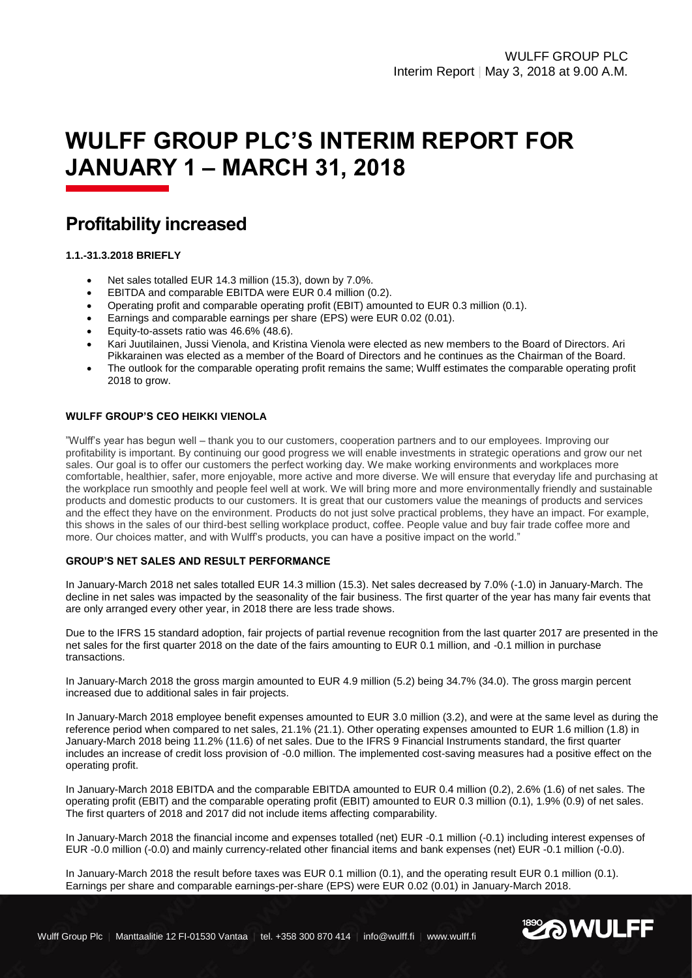# **WULFF GROUP PLC'S INTERIM REPORT FOR JANUARY 1 – MARCH 31, 2018**

# **Profitability increased**

# **1.1.-31.3.2018 BRIEFLY**

- Net sales totalled EUR 14.3 million (15.3), down by 7.0%.
- EBITDA and comparable EBITDA were EUR 0.4 million (0.2).
- Operating profit and comparable operating profit (EBIT) amounted to EUR 0.3 million (0.1).
- Earnings and comparable earnings per share (EPS) were EUR 0.02 (0.01).
- Equity-to-assets ratio was 46.6% (48.6).
- Kari Juutilainen, Jussi Vienola, and Kristina Vienola were elected as new members to the Board of Directors. Ari Pikkarainen was elected as a member of the Board of Directors and he continues as the Chairman of the Board.
- The outlook for the comparable operating profit remains the same; Wulff estimates the comparable operating profit 2018 to grow.

#### **WULFF GROUP'S CEO HEIKKI VIENOLA**

"Wulff's year has begun well – thank you to our customers, cooperation partners and to our employees. Improving our profitability is important. By continuing our good progress we will enable investments in strategic operations and grow our net sales. Our goal is to offer our customers the perfect working day. We make working environments and workplaces more comfortable, healthier, safer, more enjoyable, more active and more diverse. We will ensure that everyday life and purchasing at the workplace run smoothly and people feel well at work. We will bring more and more environmentally friendly and sustainable products and domestic products to our customers. It is great that our customers value the meanings of products and services and the effect they have on the environment. Products do not just solve practical problems, they have an impact. For example, this shows in the sales of our third-best selling workplace product, coffee. People value and buy fair trade coffee more and more. Our choices matter, and with Wulff's products, you can have a positive impact on the world."

#### **GROUP'S NET SALES AND RESULT PERFORMANCE**

In January-March 2018 net sales totalled EUR 14.3 million (15.3). Net sales decreased by 7.0% (-1.0) in January-March. The decline in net sales was impacted by the seasonality of the fair business. The first quarter of the year has many fair events that are only arranged every other year, in 2018 there are less trade shows.

Due to the IFRS 15 standard adoption, fair projects of partial revenue recognition from the last quarter 2017 are presented in the net sales for the first quarter 2018 on the date of the fairs amounting to EUR 0.1 million, and -0.1 million in purchase transactions.

In January-March 2018 the gross margin amounted to EUR 4.9 million (5.2) being 34.7% (34.0). The gross margin percent increased due to additional sales in fair projects.

In January-March 2018 employee benefit expenses amounted to EUR 3.0 million (3.2), and were at the same level as during the reference period when compared to net sales, 21.1% (21.1). Other operating expenses amounted to EUR 1.6 million (1.8) in January-March 2018 being 11.2% (11.6) of net sales. Due to the IFRS 9 Financial Instruments standard, the first quarter includes an increase of credit loss provision of -0.0 million. The implemented cost-saving measures had a positive effect on the operating profit.

In January-March 2018 EBITDA and the comparable EBITDA amounted to EUR 0.4 million (0.2), 2.6% (1.6) of net sales. The operating profit (EBIT) and the comparable operating profit (EBIT) amounted to EUR 0.3 million (0.1), 1.9% (0.9) of net sales. The first quarters of 2018 and 2017 did not include items affecting comparability.

In January-March 2018 the financial income and expenses totalled (net) EUR -0.1 million (-0.1) including interest expenses of EUR -0.0 million (-0.0) and mainly currency-related other financial items and bank expenses (net) EUR -0.1 million (-0.0).

In January-March 2018 the result before taxes was EUR 0.1 million (0.1), and the operating result EUR 0.1 million (0.1). Earnings per share and comparable earnings-per-share (EPS) were EUR 0.02 (0.01) in January-March 2018.

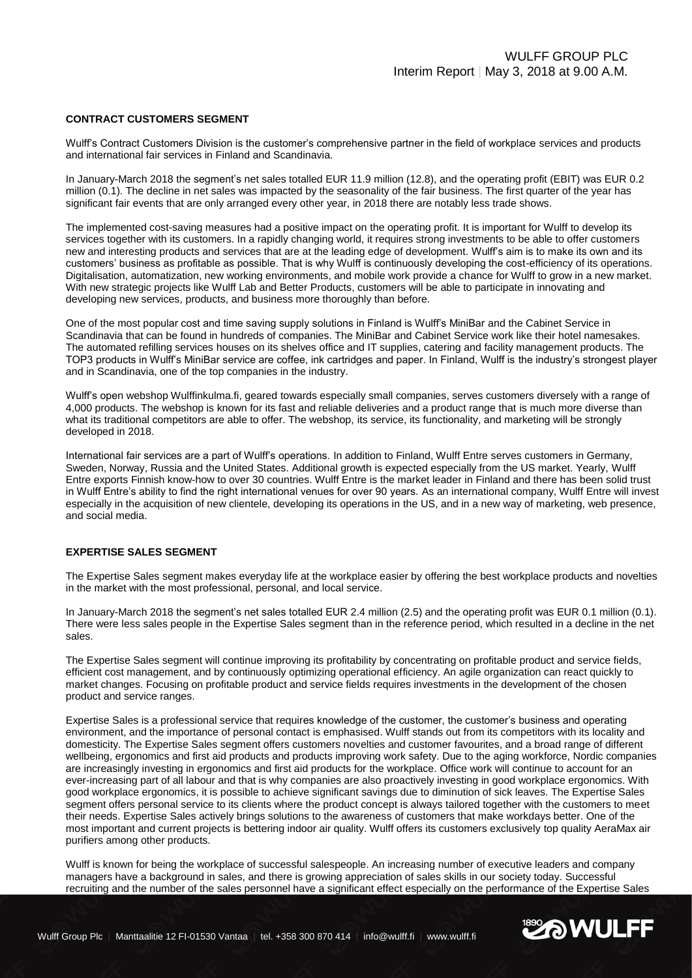#### **CONTRACT CUSTOMERS SEGMENT**

Wulff's Contract Customers Division is the customer's comprehensive partner in the field of workplace services and products and international fair services in Finland and Scandinavia.

In January-March 2018 the segment's net sales totalled EUR 11.9 million (12.8), and the operating profit (EBIT) was EUR 0.2 million (0.1). The decline in net sales was impacted by the seasonality of the fair business. The first quarter of the year has significant fair events that are only arranged every other year, in 2018 there are notably less trade shows.

The implemented cost-saving measures had a positive impact on the operating profit. It is important for Wulff to develop its services together with its customers. In a rapidly changing world, it requires strong investments to be able to offer customers new and interesting products and services that are at the leading edge of development. Wulff's aim is to make its own and its customers' business as profitable as possible. That is why Wulff is continuously developing the cost-efficiency of its operations. Digitalisation, automatization, new working environments, and mobile work provide a chance for Wulff to grow in a new market. With new strategic projects like Wulff Lab and Better Products, customers will be able to participate in innovating and developing new services, products, and business more thoroughly than before.

One of the most popular cost and time saving supply solutions in Finland is Wulff's MiniBar and the Cabinet Service in Scandinavia that can be found in hundreds of companies. The MiniBar and Cabinet Service work like their hotel namesakes. The automated refilling services houses on its shelves office and IT supplies, catering and facility management products. The TOP3 products in Wulff's MiniBar service are coffee, ink cartridges and paper. In Finland, Wulff is the industry's strongest player and in Scandinavia, one of the top companies in the industry.

Wulff's open webshop Wulffinkulma.fi, geared towards especially small companies, serves customers diversely with a range of 4,000 products. The webshop is known for its fast and reliable deliveries and a product range that is much more diverse than what its traditional competitors are able to offer. The webshop, its service, its functionality, and marketing will be strongly developed in 2018.

International fair services are a part of Wulff's operations. In addition to Finland, Wulff Entre serves customers in Germany, Sweden, Norway, Russia and the United States. Additional growth is expected especially from the US market. Yearly, Wulff Entre exports Finnish know-how to over 30 countries. Wulff Entre is the market leader in Finland and there has been solid trust in Wulff Entre's ability to find the right international venues for over 90 years. As an international company, Wulff Entre will invest especially in the acquisition of new clientele, developing its operations in the US, and in a new way of marketing, web presence, and social media.

#### **EXPERTISE SALES SEGMENT**

The Expertise Sales segment makes everyday life at the workplace easier by offering the best workplace products and novelties in the market with the most professional, personal, and local service.

In January-March 2018 the segment's net sales totalled EUR 2.4 million (2.5) and the operating profit was EUR 0.1 million (0.1). There were less sales people in the Expertise Sales segment than in the reference period, which resulted in a decline in the net sales.

The Expertise Sales segment will continue improving its profitability by concentrating on profitable product and service fields, efficient cost management, and by continuously optimizing operational efficiency. An agile organization can react quickly to market changes. Focusing on profitable product and service fields requires investments in the development of the chosen product and service ranges.

Expertise Sales is a professional service that requires knowledge of the customer, the customer's business and operating environment, and the importance of personal contact is emphasised. Wulff stands out from its competitors with its locality and domesticity. The Expertise Sales segment offers customers novelties and customer favourites, and a broad range of different wellbeing, ergonomics and first aid products and products improving work safety. Due to the aging workforce, Nordic companies are increasingly investing in ergonomics and first aid products for the workplace. Office work will continue to account for an ever-increasing part of all labour and that is why companies are also proactively investing in good workplace ergonomics. With good workplace ergonomics, it is possible to achieve significant savings due to diminution of sick leaves. The Expertise Sales segment offers personal service to its clients where the product concept is always tailored together with the customers to meet their needs. Expertise Sales actively brings solutions to the awareness of customers that make workdays better. One of the most important and current projects is bettering indoor air quality. Wulff offers its customers exclusively top quality AeraMax air purifiers among other products.

Wulff is known for being the workplace of successful salespeople. An increasing number of executive leaders and company managers have a background in sales, and there is growing appreciation of sales skills in our society today. Successful recruiting and the number of the sales personnel have a significant effect especially on the performance of the Expertise Sales

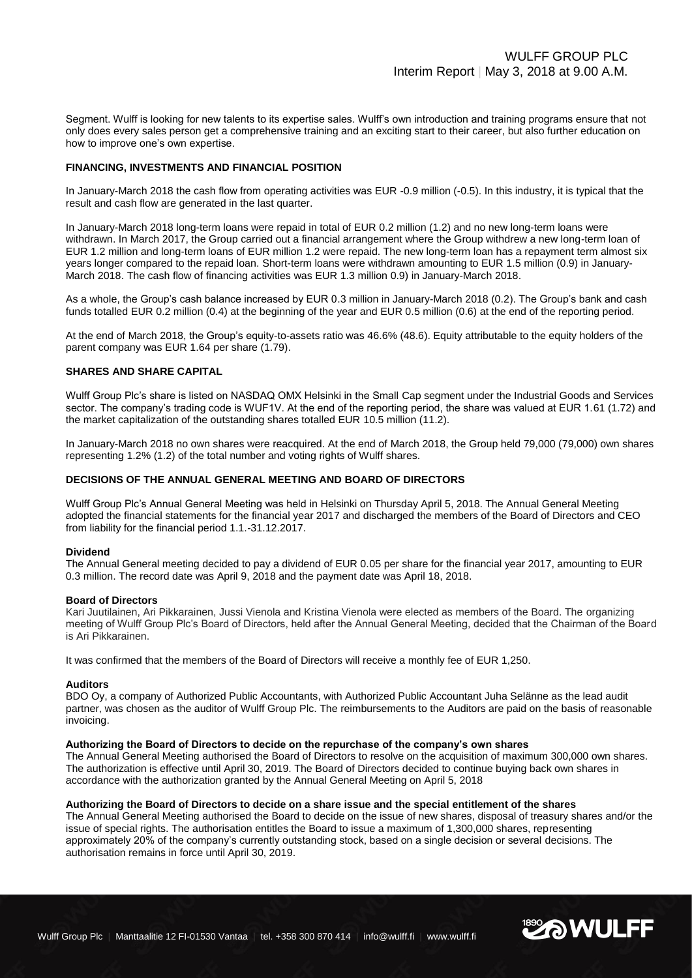Segment. Wulff is looking for new talents to its expertise sales. Wulff's own introduction and training programs ensure that not only does every sales person get a comprehensive training and an exciting start to their career, but also further education on how to improve one's own expertise.

#### **FINANCING, INVESTMENTS AND FINANCIAL POSITION**

In January-March 2018 the cash flow from operating activities was EUR -0.9 million (-0.5). In this industry, it is typical that the result and cash flow are generated in the last quarter.

In January-March 2018 long-term loans were repaid in total of EUR 0.2 million (1.2) and no new long-term loans were withdrawn. In March 2017, the Group carried out a financial arrangement where the Group withdrew a new long-term loan of EUR 1.2 million and long-term loans of EUR million 1.2 were repaid. The new long-term loan has a repayment term almost six years longer compared to the repaid loan. Short-term loans were withdrawn amounting to EUR 1.5 million (0.9) in January-March 2018. The cash flow of financing activities was EUR 1.3 million 0.9) in January-March 2018.

As a whole, the Group's cash balance increased by EUR 0.3 million in January-March 2018 (0.2). The Group's bank and cash funds totalled EUR 0.2 million (0.4) at the beginning of the year and EUR 0.5 million (0.6) at the end of the reporting period.

At the end of March 2018, the Group's equity-to-assets ratio was 46.6% (48.6). Equity attributable to the equity holders of the parent company was EUR 1.64 per share (1.79).

#### **SHARES AND SHARE CAPITAL**

Wulff Group Plc's share is listed on NASDAQ OMX Helsinki in the Small Cap segment under the Industrial Goods and Services sector. The company's trading code is WUF1V. At the end of the reporting period, the share was valued at EUR 1.61 (1.72) and the market capitalization of the outstanding shares totalled EUR 10.5 million (11.2).

In January-March 2018 no own shares were reacquired. At the end of March 2018, the Group held 79,000 (79,000) own shares representing 1.2% (1.2) of the total number and voting rights of Wulff shares.

#### **DECISIONS OF THE ANNUAL GENERAL MEETING AND BOARD OF DIRECTORS**

Wulff Group Plc's Annual General Meeting was held in Helsinki on Thursday April 5, 2018. The Annual General Meeting adopted the financial statements for the financial year 2017 and discharged the members of the Board of Directors and CEO from liability for the financial period 1.1.-31.12.2017.

#### **Dividend**

The Annual General meeting decided to pay a dividend of EUR 0.05 per share for the financial year 2017, amounting to EUR 0.3 million. The record date was April 9, 2018 and the payment date was April 18, 2018.

#### **Board of Directors**

Kari Juutilainen, Ari Pikkarainen, Jussi Vienola and Kristina Vienola were elected as members of the Board. The organizing meeting of Wulff Group Plc's Board of Directors, held after the Annual General Meeting, decided that the Chairman of the Board is Ari Pikkarainen.

It was confirmed that the members of the Board of Directors will receive a monthly fee of EUR 1,250.

#### **Auditors**

BDO Oy, a company of Authorized Public Accountants, with Authorized Public Accountant Juha Selänne as the lead audit partner, was chosen as the auditor of Wulff Group Plc. The reimbursements to the Auditors are paid on the basis of reasonable invoicing.

#### **Authorizing the Board of Directors to decide on the repurchase of the company's own shares**

The Annual General Meeting authorised the Board of Directors to resolve on the acquisition of maximum 300,000 own shares. The authorization is effective until April 30, 2019. The Board of Directors decided to continue buying back own shares in accordance with the authorization granted by the Annual General Meeting on April 5, 2018

#### **Authorizing the Board of Directors to decide on a share issue and the special entitlement of the shares**

The Annual General Meeting authorised the Board to decide on the issue of new shares, disposal of treasury shares and/or the issue of special rights. The authorisation entitles the Board to issue a maximum of 1,300,000 shares, representing approximately 20% of the company's currently outstanding stock, based on a single decision or several decisions. The authorisation remains in force until April 30, 2019.

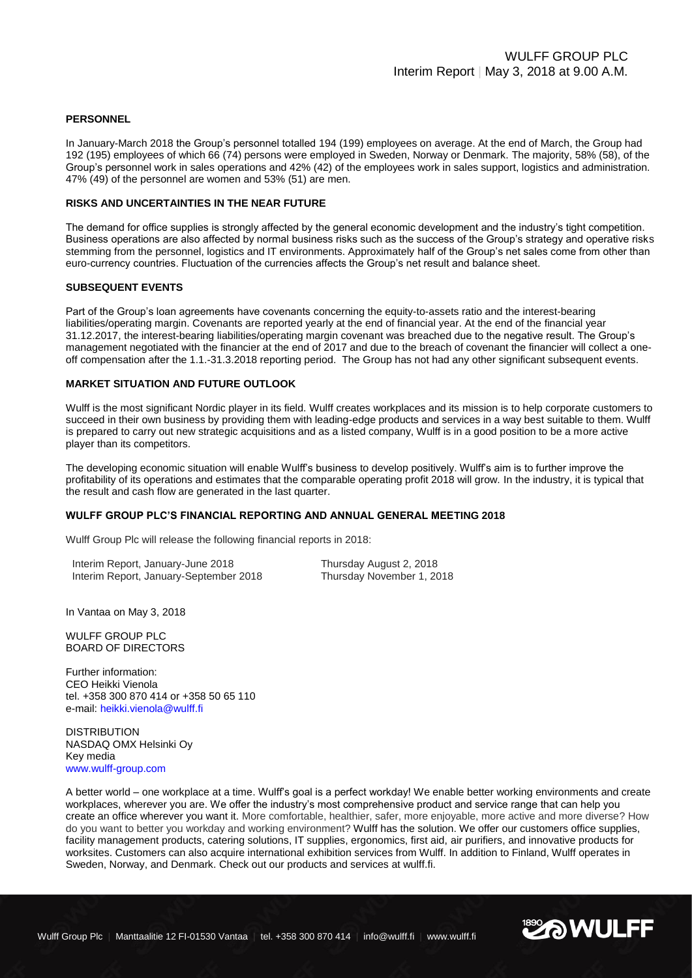#### **PERSONNEL**

In January-March 2018 the Group's personnel totalled 194 (199) employees on average. At the end of March, the Group had 192 (195) employees of which 66 (74) persons were employed in Sweden, Norway or Denmark. The majority, 58% (58), of the Group's personnel work in sales operations and 42% (42) of the employees work in sales support, logistics and administration. 47% (49) of the personnel are women and 53% (51) are men.

#### **RISKS AND UNCERTAINTIES IN THE NEAR FUTURE**

The demand for office supplies is strongly affected by the general economic development and the industry's tight competition. Business operations are also affected by normal business risks such as the success of the Group's strategy and operative risks stemming from the personnel, logistics and IT environments. Approximately half of the Group's net sales come from other than euro-currency countries. Fluctuation of the currencies affects the Group's net result and balance sheet.

#### **SUBSEQUENT EVENTS**

Part of the Group's loan agreements have covenants concerning the equity-to-assets ratio and the interest-bearing liabilities/operating margin. Covenants are reported yearly at the end of financial year. At the end of the financial year 31.12.2017, the interest-bearing liabilities/operating margin covenant was breached due to the negative result. The Group's management negotiated with the financier at the end of 2017 and due to the breach of covenant the financier will collect a oneoff compensation after the 1.1.-31.3.2018 reporting period. The Group has not had any other significant subsequent events.

#### **MARKET SITUATION AND FUTURE OUTLOOK**

Wulff is the most significant Nordic player in its field. Wulff creates workplaces and its mission is to help corporate customers to succeed in their own business by providing them with leading-edge products and services in a way best suitable to them. Wulff is prepared to carry out new strategic acquisitions and as a listed company, Wulff is in a good position to be a more active player than its competitors.

The developing economic situation will enable Wulff's business to develop positively. Wulff's aim is to further improve the profitability of its operations and estimates that the comparable operating profit 2018 will grow. In the industry, it is typical that the result and cash flow are generated in the last quarter.

#### **WULFF GROUP PLC'S FINANCIAL REPORTING AND ANNUAL GENERAL MEETING 2018**

Wulff Group Plc will release the following financial reports in 2018:

Interim Report, January-June 2018 Thursday August 2, 2018 Interim Report, January-September 2018 Thursday November 1, 2018

In Vantaa on May 3, 2018

WULFF GROUP PLC BOARD OF DIRECTORS

Further information: CEO Heikki Vienola tel. +358 300 870 414 or +358 50 65 110 e-mail: [heikki.vienola@wulff.fi](mailto:heikki.vienola@wulff.fi)

DISTRIBUTION NASDAQ OMX Helsinki Oy Key media [www.wulff-group.com](http://www.wulff-group.com/)

A better world – one workplace at a time. Wulff's goal is a perfect workday! We enable better working environments and create workplaces, wherever you are. We offer the industry's most comprehensive product and service range that can help you create an office wherever you want it. More comfortable, healthier, safer, more enjoyable, more active and more diverse? How do you want to better you workday and working environment? Wulff has the solution. We offer our customers office supplies, facility management products, catering solutions, IT supplies, ergonomics, first aid, air purifiers, and innovative products for worksites. Customers can also acquire international exhibition services from Wulff. In addition to Finland, Wulff operates in Sweden, Norway, and Denmark. Check out our products and services at wulff.fi.

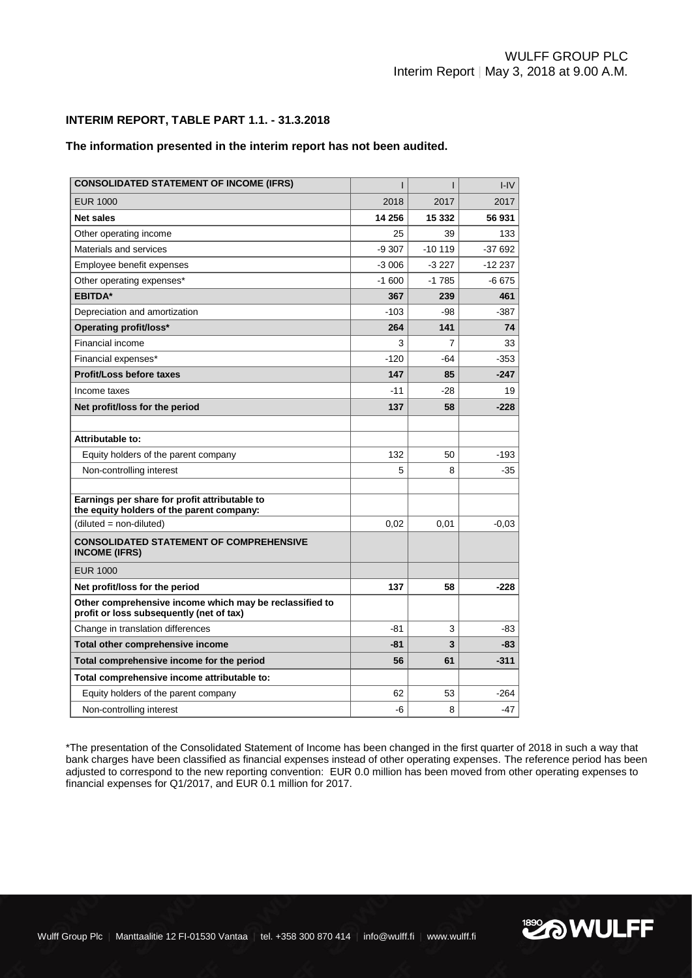**EXA WULFF** 

# **INTERIM REPORT, TABLE PART 1.1. - 31.3.2018**

## **The information presented in the interim report has not been audited.**

| <b>CONSOLIDATED STATEMENT OF INCOME (IFRS)</b>                                                      | ı       | ı        | H <sub>1</sub> |
|-----------------------------------------------------------------------------------------------------|---------|----------|----------------|
| <b>EUR 1000</b>                                                                                     | 2018    | 2017     | 2017           |
| <b>Net sales</b>                                                                                    | 14 256  | 15 332   | 56 931         |
| Other operating income                                                                              | 25      | 39       | 133            |
| Materials and services                                                                              | $-9307$ | $-10119$ | $-37692$       |
| Employee benefit expenses                                                                           | $-3006$ | $-3227$  | $-12237$       |
| Other operating expenses*                                                                           | $-1600$ | $-1785$  | -6 675         |
| <b>EBITDA*</b>                                                                                      | 367     | 239      | 461            |
| Depreciation and amortization                                                                       | $-103$  | -98      | -387           |
| Operating profit/loss*                                                                              | 264     | 141      | 74             |
| <b>Financial income</b>                                                                             | 3       | 7        | 33             |
| Financial expenses*                                                                                 | $-120$  | $-64$    | $-353$         |
| <b>Profit/Loss before taxes</b>                                                                     | 147     | 85       | $-247$         |
| Income taxes                                                                                        | $-11$   | $-28$    | 19             |
| Net profit/loss for the period                                                                      | 137     | 58       | $-228$         |
|                                                                                                     |         |          |                |
| Attributable to:                                                                                    |         |          |                |
| Equity holders of the parent company                                                                | 132     | 50       | -193           |
| Non-controlling interest                                                                            | 5       | 8        | $-35$          |
|                                                                                                     |         |          |                |
| Earnings per share for profit attributable to<br>the equity holders of the parent company:          |         |          |                |
| (diluted = non-diluted)                                                                             | 0,02    | 0,01     | $-0.03$        |
| <b>CONSOLIDATED STATEMENT OF COMPREHENSIVE</b><br><b>INCOME (IFRS)</b>                              |         |          |                |
| <b>EUR 1000</b>                                                                                     |         |          |                |
| Net profit/loss for the period                                                                      | 137     | 58       | $-228$         |
| Other comprehensive income which may be reclassified to<br>profit or loss subsequently (net of tax) |         |          |                |
| Change in translation differences                                                                   | -81     | 3        | -83            |
| Total other comprehensive income                                                                    | $-81$   | 3        | $-83$          |
| Total comprehensive income for the period                                                           | 56      | 61       | $-311$         |
| Total comprehensive income attributable to:                                                         |         |          |                |
| Equity holders of the parent company                                                                | 62      | 53       | $-264$         |
| Non-controlling interest                                                                            | -6      | 8        | $-47$          |

\*The presentation of the Consolidated Statement of Income has been changed in the first quarter of 2018 in such a way that bank charges have been classified as financial expenses instead of other operating expenses. The reference period has been adjusted to correspond to the new reporting convention: EUR 0.0 million has been moved from other operating expenses to financial expenses for Q1/2017, and EUR 0.1 million for 2017.

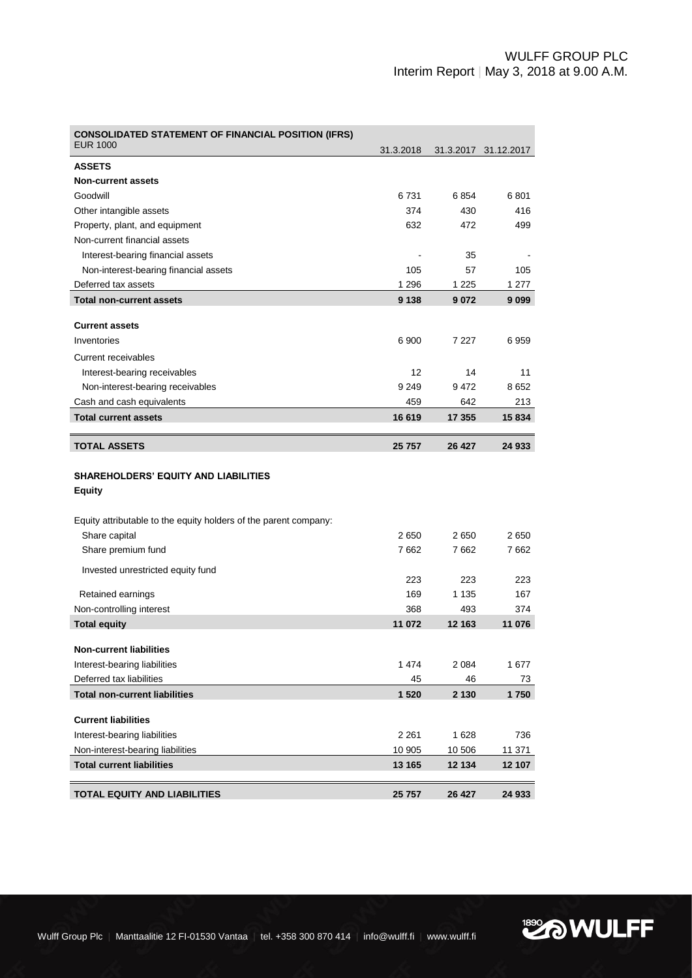| <b>CONSOLIDATED STATEMENT OF FINANCIAL POSITION (IFRS)</b>                        |           |         |                      |
|-----------------------------------------------------------------------------------|-----------|---------|----------------------|
| <b>EUR 1000</b>                                                                   | 31.3.2018 |         | 31.3.2017 31.12.2017 |
| <b>ASSETS</b>                                                                     |           |         |                      |
| <b>Non-current assets</b>                                                         |           |         |                      |
| Goodwill                                                                          | 6731      | 6854    | 6801                 |
| Other intangible assets                                                           | 374       | 430     | 416                  |
| Property, plant, and equipment                                                    | 632       | 472     | 499                  |
| Non-current financial assets                                                      |           |         |                      |
| Interest-bearing financial assets                                                 |           | 35      |                      |
| Non-interest-bearing financial assets                                             | 105       | 57      | 105                  |
| Deferred tax assets                                                               | 1 2 9 6   | 1 2 2 5 | 1 277                |
| <b>Total non-current assets</b>                                                   | 9 1 3 8   | 9072    | 9 0 9 9              |
| <b>Current assets</b>                                                             |           |         |                      |
| Inventories                                                                       | 6 900     | 7 2 2 7 | 6959                 |
| Current receivables                                                               |           |         |                      |
| Interest-bearing receivables                                                      | 12        | 14      | 11                   |
| Non-interest-bearing receivables                                                  | 9 2 4 9   | 9472    | 8652                 |
| Cash and cash equivalents                                                         | 459       | 642     | 213                  |
| <b>Total current assets</b>                                                       | 16 619    | 17 355  | 15 834               |
|                                                                                   |           |         |                      |
| <b>TOTAL ASSETS</b>                                                               | 25 757    | 26 427  | 24 933               |
|                                                                                   |           |         |                      |
| <b>SHAREHOLDERS' EQUITY AND LIABILITIES</b><br><b>Equity</b>                      |           |         |                      |
|                                                                                   |           |         |                      |
| Equity attributable to the equity holders of the parent company:<br>Share capital | 2650      | 2650    | 2650                 |
| Share premium fund                                                                | 7662      | 7662    | 7662                 |
|                                                                                   |           |         |                      |
| Invested unrestricted equity fund                                                 | 223       | 223     | 223                  |
| Retained earnings                                                                 | 169       | 1 1 3 5 | 167                  |
| Non-controlling interest                                                          | 368       | 493     | 374                  |
| <b>Total equity</b>                                                               | 11 072    | 12 163  | 11 076               |
|                                                                                   |           |         |                      |
| <b>Non-current liabilities</b>                                                    |           |         |                      |
| Interest-bearing liabilities                                                      | 1474      | 2 0 8 4 | 1677                 |
| Deferred tax liabilities                                                          | 45        | 46      | 73                   |
| <b>Total non-current liabilities</b>                                              | 1 5 2 0   | 2 1 3 0 | 1750                 |
| <b>Current liabilities</b>                                                        |           |         |                      |
| Interest-bearing liabilities                                                      | 2 2 6 1   | 1628    | 736                  |
| Non-interest-bearing liabilities                                                  | 10 905    | 10 506  | 11 371               |
| <b>Total current liabilities</b>                                                  | 13 165    | 12 134  | 12 107               |

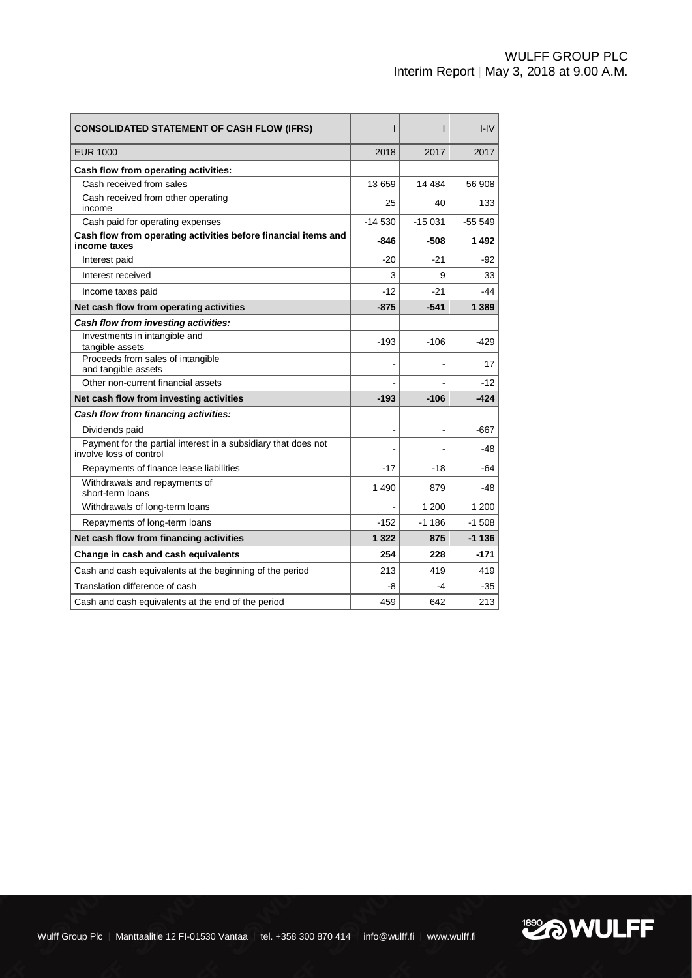| <b>CONSOLIDATED STATEMENT OF CASH FLOW (IFRS)</b>                                         | ı        | ı        | $I - IV$  |
|-------------------------------------------------------------------------------------------|----------|----------|-----------|
| EUR 1000                                                                                  | 2018     | 2017     | 2017      |
| Cash flow from operating activities:                                                      |          |          |           |
| Cash received from sales                                                                  | 13 659   | 14 4 84  | 56 908    |
| Cash received from other operating<br>income                                              | 25       | 40       | 133       |
| Cash paid for operating expenses                                                          | $-14530$ | $-15031$ | $-555549$ |
| Cash flow from operating activities before financial items and<br>income taxes            | -846     | -508     | 1492      |
| Interest paid                                                                             | $-20$    | -21      | -92       |
| Interest received                                                                         | 3        | 9        | 33        |
| Income taxes paid                                                                         | $-12$    | $-21$    | $-44$     |
| Net cash flow from operating activities                                                   | $-875$   | -541     | 1 3 8 9   |
| Cash flow from investing activities:                                                      |          |          |           |
| Investments in intangible and<br>tangible assets                                          | $-193$   | $-106$   | $-429$    |
| Proceeds from sales of intangible<br>and tangible assets                                  |          |          | 17        |
| Other non-current financial assets                                                        |          |          | $-12$     |
| Net cash flow from investing activities                                                   | $-193$   | $-106$   | $-424$    |
| Cash flow from financing activities:                                                      |          |          |           |
| Dividends paid                                                                            |          |          | $-667$    |
| Payment for the partial interest in a subsidiary that does not<br>involve loss of control |          |          | -48       |
| Repayments of finance lease liabilities                                                   | $-17$    | $-18$    | -64       |
| Withdrawals and repayments of<br>short-term loans                                         | 1 4 9 0  | 879      | -48       |
| Withdrawals of long-term loans                                                            |          | 1 200    | 1 200     |
| Repayments of long-term loans                                                             | $-152$   | $-1.186$ | $-1.508$  |
| Net cash flow from financing activities                                                   | 1 3 2 2  | 875      | $-1136$   |
| Change in cash and cash equivalents                                                       | 254      | 228      | $-171$    |
| Cash and cash equivalents at the beginning of the period                                  | 213      | 419      | 419       |
| Translation difference of cash                                                            | -8       | -4       | -35       |
| Cash and cash equivalents at the end of the period                                        | 459      | 642      | 213       |

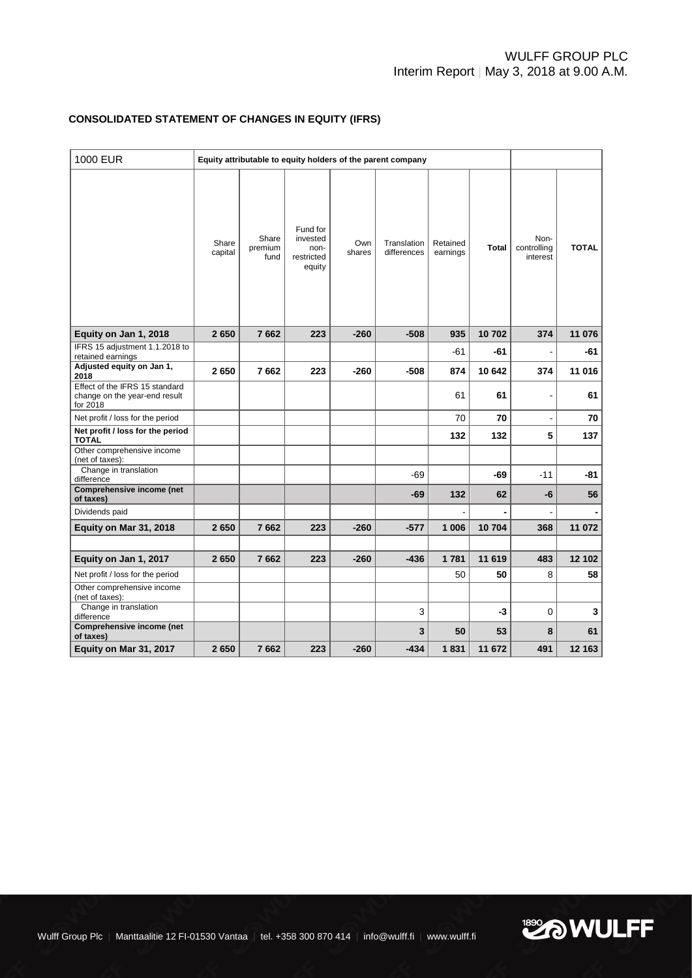# **CONSOLIDATED STATEMENT OF CHANGES IN EQUITY (IFRS)**

| <b>1000 EUR</b>                                                             | Equity attributable to equity holders of the parent company |                          |                                                      |               |                            |                      |              |                                 |              |
|-----------------------------------------------------------------------------|-------------------------------------------------------------|--------------------------|------------------------------------------------------|---------------|----------------------------|----------------------|--------------|---------------------------------|--------------|
|                                                                             | Share<br>capital                                            | Share<br>premium<br>fund | Fund for<br>invested<br>non-<br>restricted<br>equity | Own<br>shares | Translation<br>differences | Retained<br>earnings | <b>Total</b> | Non-<br>controlling<br>interest | <b>TOTAL</b> |
| Equity on Jan 1, 2018                                                       | 2650                                                        | 7662                     | 223                                                  | $-260$        | $-508$                     | 935                  | 10702        | 374                             | 11 076       |
| IFRS 15 adjustment 1.1.2018 to<br>retained earnings                         |                                                             |                          |                                                      |               |                            | -61                  | -61          |                                 | -61          |
| Adjusted equity on Jan 1,<br>2018                                           | 2650                                                        | 7662                     | 223                                                  | -260          | $-508$                     | 874                  | 10 642       | 374                             | 11 016       |
| Effect of the IFRS 15 standard<br>change on the year-end result<br>for 2018 |                                                             |                          |                                                      |               |                            | 61                   | 61           |                                 | 61           |
| Net profit / loss for the period                                            |                                                             |                          |                                                      |               |                            | 70                   | 70           |                                 | 70           |
| Net profit / loss for the period<br><b>TOTAL</b>                            |                                                             |                          |                                                      |               |                            | 132                  | 132          | 5                               | 137          |
| Other comprehensive income<br>(net of taxes):                               |                                                             |                          |                                                      |               |                            |                      |              |                                 |              |
| Change in translation<br>difference                                         |                                                             |                          |                                                      |               | $-69$                      |                      | $-69$        | $-11$                           | $-81$        |
| Comprehensive income (net<br>of taxes)                                      |                                                             |                          |                                                      |               | $-69$                      | 132                  | 62           | -6                              | 56           |
| Dividends paid                                                              |                                                             |                          |                                                      |               |                            |                      |              |                                 |              |
| Equity on Mar 31, 2018                                                      | 2650                                                        | 7662                     | 223                                                  | $-260$        | $-577$                     | 1 0 0 6              | 10704        | 368                             | 11 072       |
|                                                                             |                                                             |                          |                                                      |               |                            |                      |              |                                 |              |
| Equity on Jan 1, 2017                                                       | 2650                                                        | 7662                     | 223                                                  | $-260$        | $-436$                     | 1781                 | 11 619       | 483                             | 12 102       |
| Net profit / loss for the period<br>Other comprehensive income              |                                                             |                          |                                                      |               |                            | 50                   | 50           | 8                               | 58           |
| (net of taxes):                                                             |                                                             |                          |                                                      |               |                            |                      |              |                                 |              |
| Change in translation<br>difference                                         |                                                             |                          |                                                      |               | 3                          |                      | -3           | 0                               | 3            |
| Comprehensive income (net<br>of taxes)                                      |                                                             |                          |                                                      |               | 3                          | 50                   | 53           | 8                               | 61           |
| Equity on Mar 31, 2017                                                      | 2650                                                        | 7662                     | 223                                                  | $-260$        | $-434$                     | 1831                 | 11 672       | 491                             | 12 163       |

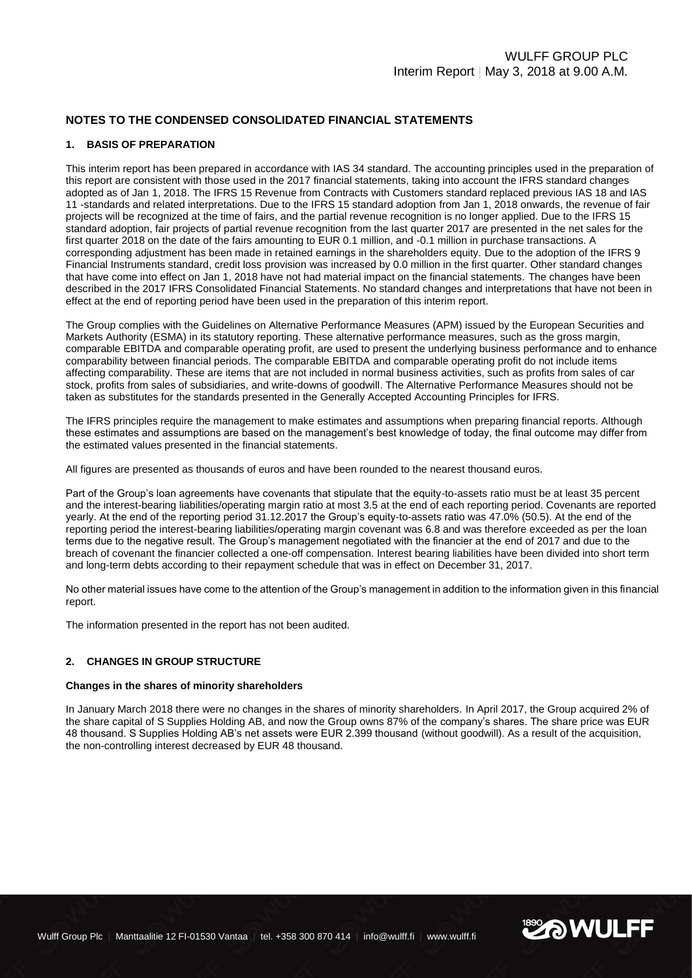# **NOTES TO THE CONDENSED CONSOLIDATED FINANCIAL STATEMENTS**

# **1. BASIS OF PREPARATION**

This interim report has been prepared in accordance with IAS 34 standard. The accounting principles used in the preparation of this report are consistent with those used in the 2017 financial statements, taking into account the IFRS standard changes adopted as of Jan 1, 2018. The IFRS 15 Revenue from Contracts with Customers standard replaced previous IAS 18 and IAS 11 -standards and related interpretations. Due to the IFRS 15 standard adoption from Jan 1, 2018 onwards, the revenue of fair projects will be recognized at the time of fairs, and the partial revenue recognition is no longer applied. Due to the IFRS 15 standard adoption, fair projects of partial revenue recognition from the last quarter 2017 are presented in the net sales for the first quarter 2018 on the date of the fairs amounting to EUR 0.1 million, and -0.1 million in purchase transactions. A corresponding adjustment has been made in retained earnings in the shareholders equity. Due to the adoption of the IFRS 9 Financial Instruments standard, credit loss provision was increased by 0.0 million in the first quarter. Other standard changes that have come into effect on Jan 1, 2018 have not had material impact on the financial statements. The changes have been described in the 2017 IFRS Consolidated Financial Statements. No standard changes and interpretations that have not been in effect at the end of reporting period have been used in the preparation of this interim report.

The Group complies with the Guidelines on Alternative Performance Measures (APM) issued by the European Securities and Markets Authority (ESMA) in its statutory reporting. These alternative performance measures, such as the gross margin, comparable EBITDA and comparable operating profit, are used to present the underlying business performance and to enhance comparability between financial periods. The comparable EBITDA and comparable operating profit do not include items affecting comparability. These are items that are not included in normal business activities, such as profits from sales of car stock, profits from sales of subsidiaries, and write-downs of goodwill. The Alternative Performance Measures should not be taken as substitutes for the standards presented in the Generally Accepted Accounting Principles for IFRS.

The IFRS principles require the management to make estimates and assumptions when preparing financial reports. Although these estimates and assumptions are based on the management's best knowledge of today, the final outcome may differ from the estimated values presented in the financial statements.

All figures are presented as thousands of euros and have been rounded to the nearest thousand euros.

Part of the Group's loan agreements have covenants that stipulate that the equity-to-assets ratio must be at least 35 percent and the interest-bearing liabilities/operating margin ratio at most 3.5 at the end of each reporting period. Covenants are reported yearly. At the end of the reporting period 31.12.2017 the Group's equity-to-assets ratio was 47.0% (50.5). At the end of the reporting period the interest-bearing liabilities/operating margin covenant was 6.8 and was therefore exceeded as per the loan terms due to the negative result. The Group's management negotiated with the financier at the end of 2017 and due to the breach of covenant the financier collected a one-off compensation. Interest bearing liabilities have been divided into short term and long-term debts according to their repayment schedule that was in effect on December 31, 2017.

No other material issues have come to the attention of the Group's management in addition to the information given in this financial report.

The information presented in the report has not been audited.

#### **2. CHANGES IN GROUP STRUCTURE**

#### **Changes in the shares of minority shareholders**

In January March 2018 there were no changes in the shares of minority shareholders. In April 2017, the Group acquired 2% of the share capital of S Supplies Holding AB, and now the Group owns 87% of the company's shares. The share price was EUR 48 thousand. S Supplies Holding AB's net assets were EUR 2.399 thousand (without goodwill). As a result of the acquisition, the non-controlling interest decreased by EUR 48 thousand.

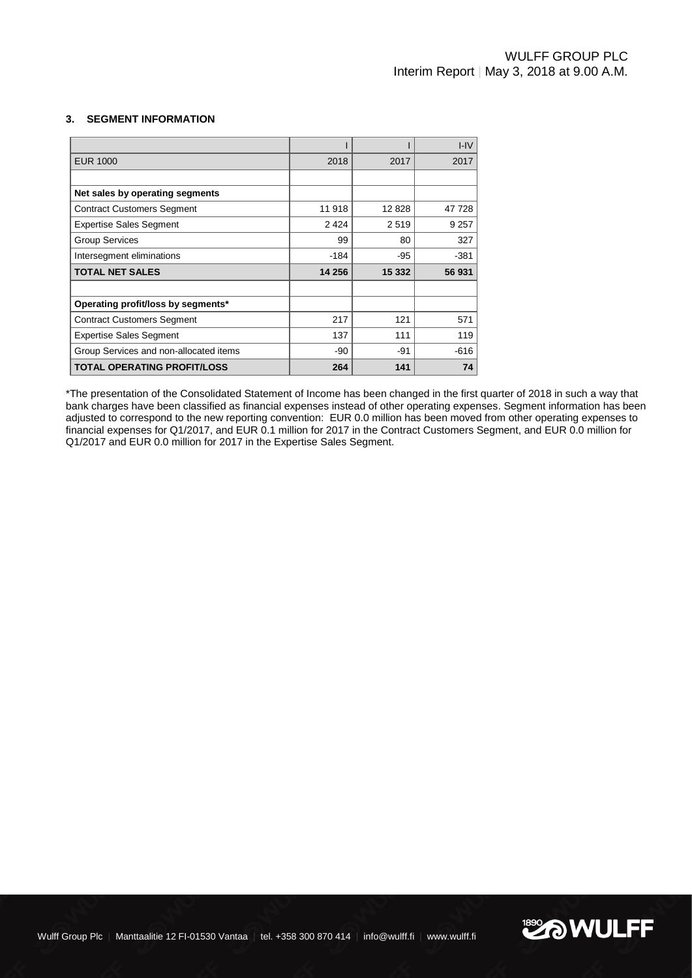# **3. SEGMENT INFORMATION**

|                                        |         |         | $I - IV$ |
|----------------------------------------|---------|---------|----------|
| <b>EUR 1000</b>                        | 2018    | 2017    | 2017     |
|                                        |         |         |          |
| Net sales by operating segments        |         |         |          |
| <b>Contract Customers Segment</b>      | 11 918  | 12828   | 47 728   |
| <b>Expertise Sales Segment</b>         | 2 4 2 4 | 2519    | 9 2 5 7  |
| <b>Group Services</b>                  | 99      | 80      | 327      |
| Intersegment eliminations              | $-184$  | $-95$   | $-381$   |
| <b>TOTAL NET SALES</b>                 | 14 256  | 15 3 32 | 56 931   |
|                                        |         |         |          |
| Operating profit/loss by segments*     |         |         |          |
| <b>Contract Customers Segment</b>      | 217     | 121     | 571      |
| <b>Expertise Sales Segment</b>         | 137     | 111     | 119      |
| Group Services and non-allocated items | $-90$   | -91     | $-616$   |
| <b>TOTAL OPERATING PROFIT/LOSS</b>     | 264     | 141     | 74       |

\*The presentation of the Consolidated Statement of Income has been changed in the first quarter of 2018 in such a way that bank charges have been classified as financial expenses instead of other operating expenses. Segment information has been adjusted to correspond to the new reporting convention: EUR 0.0 million has been moved from other operating expenses to financial expenses for Q1/2017, and EUR 0.1 million for 2017 in the Contract Customers Segment, and EUR 0.0 million for Q1/2017 and EUR 0.0 million for 2017 in the Expertise Sales Segment.

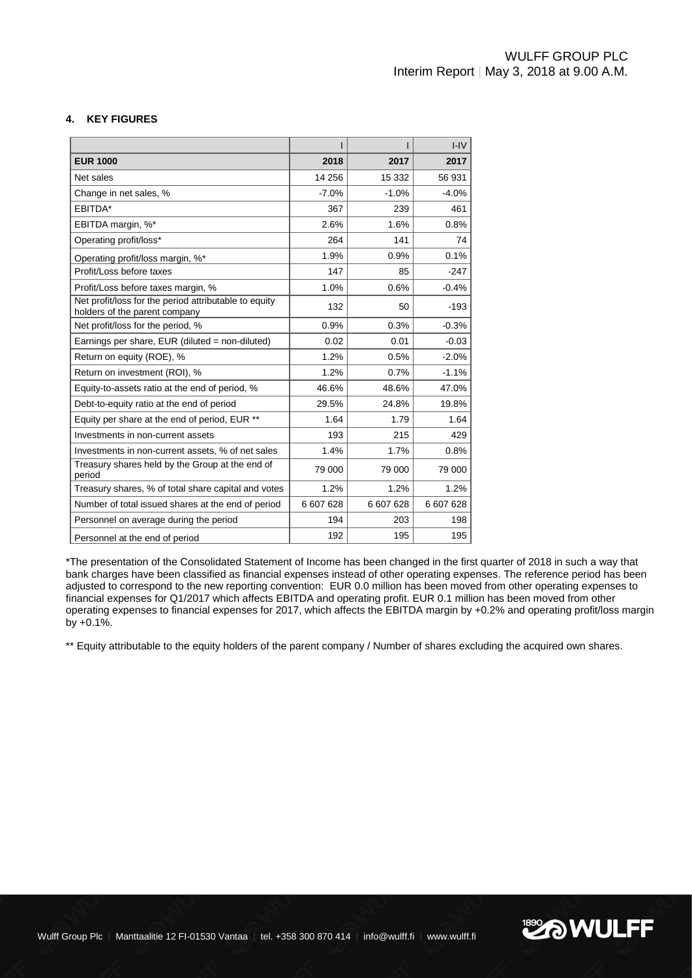# **4. KEY FIGURES**

|                                                                                        |           |           | $I - IV$  |
|----------------------------------------------------------------------------------------|-----------|-----------|-----------|
| <b>EUR 1000</b>                                                                        | 2018      | 2017      | 2017      |
| Net sales                                                                              | 14 25 6   | 15 3 32   | 56 931    |
| Change in net sales, %                                                                 | $-7.0%$   | $-1.0%$   | $-4.0%$   |
| EBITDA*                                                                                | 367       | 239       | 461       |
| EBITDA margin, %*                                                                      | 2.6%      | 1.6%      | 0.8%      |
| Operating profit/loss*                                                                 | 264       | 141       | 74        |
| Operating profit/loss margin, %*                                                       | 1.9%      | 0.9%      | 0.1%      |
| Profit/Loss before taxes                                                               | 147       | 85        | $-247$    |
| Profit/Loss before taxes margin, %                                                     | 1.0%      | 0.6%      | $-0.4%$   |
| Net profit/loss for the period attributable to equity<br>holders of the parent company | 132       | 50        | $-193$    |
| Net profit/loss for the period, %                                                      | 0.9%      | 0.3%      | $-0.3%$   |
| Earnings per share, EUR (diluted = non-diluted)                                        | 0.02      | 0.01      | $-0.03$   |
| Return on equity (ROE), %                                                              | 1.2%      | 0.5%      | $-2.0%$   |
| Return on investment (ROI), %                                                          | 1.2%      | 0.7%      | $-1.1%$   |
| Equity-to-assets ratio at the end of period, %                                         | 46.6%     | 48.6%     | 47.0%     |
| Debt-to-equity ratio at the end of period                                              | 29.5%     | 24.8%     | 19.8%     |
| Equity per share at the end of period, EUR **                                          | 1.64      | 1.79      | 1.64      |
| Investments in non-current assets                                                      | 193       | 215       | 429       |
| Investments in non-current assets, % of net sales                                      | 1.4%      | 1.7%      | 0.8%      |
| Treasury shares held by the Group at the end of<br>period                              | 79 000    | 79 000    | 79 000    |
| Treasury shares, % of total share capital and votes                                    | 1.2%      | 1.2%      | 1.2%      |
| Number of total issued shares at the end of period                                     | 6 607 628 | 6 607 628 | 6 607 628 |
| Personnel on average during the period                                                 | 194       | 203       | 198       |
| Personnel at the end of period                                                         | 192       | 195       | 195       |

\*The presentation of the Consolidated Statement of Income has been changed in the first quarter of 2018 in such a way that bank charges have been classified as financial expenses instead of other operating expenses. The reference period has been adjusted to correspond to the new reporting convention: EUR 0.0 million has been moved from other operating expenses to financial expenses for Q1/2017 which affects EBITDA and operating profit. EUR 0.1 million has been moved from other operating expenses to financial expenses for 2017, which affects the EBITDA margin by +0.2% and operating profit/loss margin by +0.1%.

\*\* Equity attributable to the equity holders of the parent company / Number of shares excluding the acquired own shares.